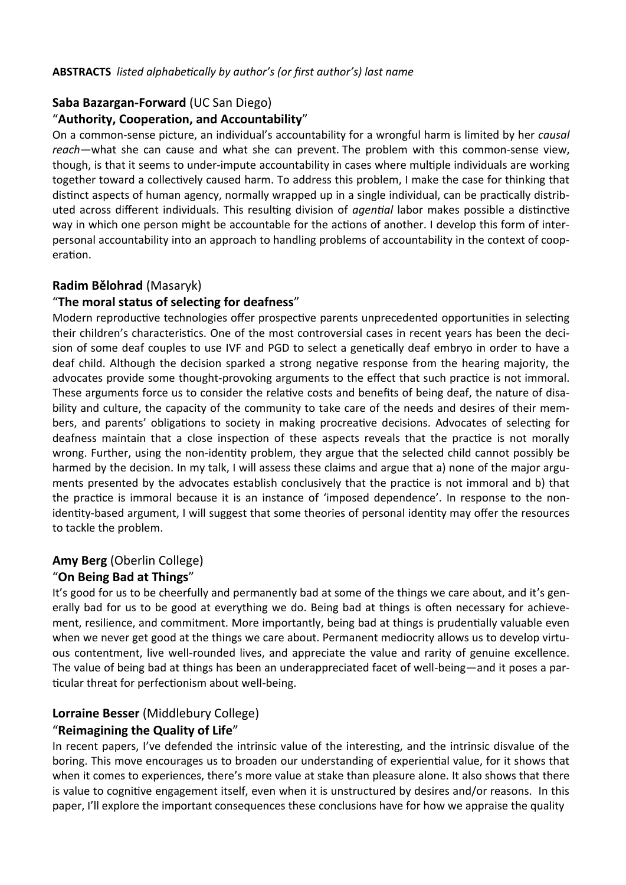### **ABSTRACTS** *listed alphabetically by author's (or first author's) last name*

### **Saba Bazargan-Forward** (UC San Diego)

### "**Authority, Cooperation, and Accountability**"

On a common-sense picture, an individual's accountability for a wrongful harm is limited by her *causal reach—*what she can cause and what she can prevent. The problem with this common-sense view, though, is that it seems to under-impute accountability in cases where multiple individuals are working together toward a collectively caused harm. To address this problem, I make the case for thinking that distinct aspects of human agency, normally wrapped up in a single individual, can be practically distributed across different individuals. This resulting division of *agential* labor makes possible a distinctive way in which one person might be accountable for the actions of another. I develop this form of interpersonal accountability into an approach to handling problems of accountability in the context of cooperation.

# **Radim Bělohrad** (Masaryk)

### "**The moral status of selecting for deafness**"

Modern reproductive technologies offer prospective parents unprecedented opportunities in selecting their children's characteristics. One of the most controversial cases in recent years has been the decision of some deaf couples to use IVF and PGD to select a genetically deaf embryo in order to have a deaf child. Although the decision sparked a strong negative response from the hearing majority, the advocates provide some thought-provoking arguments to the effect that such practice is not immoral. These arguments force us to consider the relative costs and benefits of being deaf, the nature of disability and culture, the capacity of the community to take care of the needs and desires of their members, and parents' obligations to society in making procreative decisions. Advocates of selecting for deafness maintain that a close inspection of these aspects reveals that the practice is not morally wrong. Further, using the non-identity problem, they argue that the selected child cannot possibly be harmed by the decision. In my talk, I will assess these claims and argue that a) none of the major arguments presented by the advocates establish conclusively that the practice is not immoral and b) that the practice is immoral because it is an instance of 'imposed dependence'. In response to the nonidentity-based argument, I will suggest that some theories of personal identity may offer the resources to tackle the problem.

### **Amy Berg** (Oberlin College)

### "**On Being Bad at Things**"

It's good for us to be cheerfully and permanently bad at some of the things we care about, and it's generally bad for us to be good at everything we do. Being bad at things is often necessary for achievement, resilience, and commitment. More importantly, being bad at things is prudentially valuable even when we never get good at the things we care about. Permanent mediocrity allows us to develop virtuous contentment, live well-rounded lives, and appreciate the value and rarity of genuine excellence. The value of being bad at things has been an underappreciated facet of well-being—and it poses a particular threat for perfectionism about well-being.

# **Lorraine Besser** (Middlebury College)

### "**Reimagining the Quality of Life**"

In recent papers, I've defended the intrinsic value of the interesting, and the intrinsic disvalue of the boring. This move encourages us to broaden our understanding of experiential value, for it shows that when it comes to experiences, there's more value at stake than pleasure alone. It also shows that there is value to cognitive engagement itself, even when it is unstructured by desires and/or reasons. In this paper, I'll explore the important consequences these conclusions have for how we appraise the quality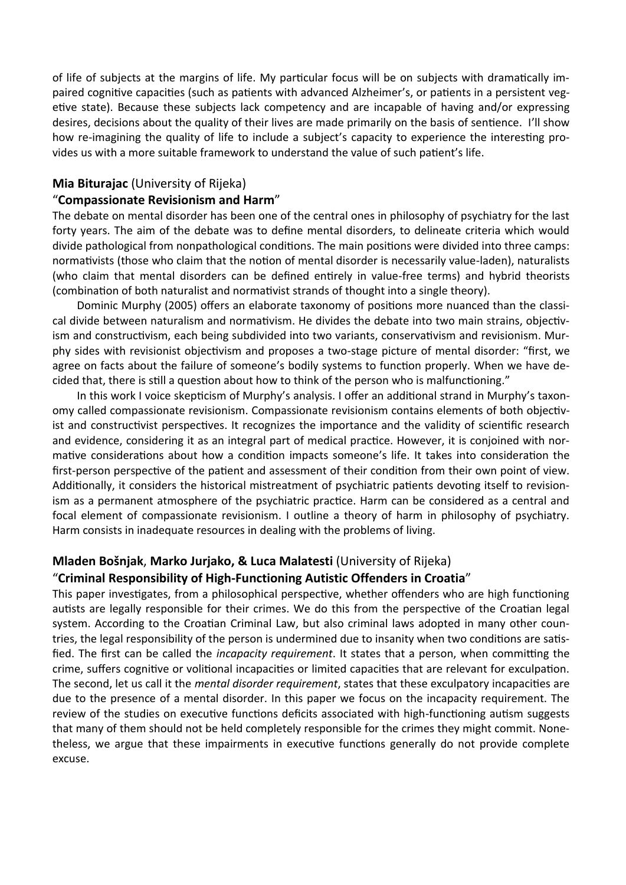of life of subjects at the margins of life. My particular focus will be on subjects with dramatically impaired cognitive capacities (such as patients with advanced Alzheimer's, or patients in a persistent vegetive state). Because these subjects lack competency and are incapable of having and/or expressing desires, decisions about the quality of their lives are made primarily on the basis of sentience. I'll show how re-imagining the quality of life to include a subject's capacity to experience the interesting provides us with a more suitable framework to understand the value of such patient's life.

#### **Mia Biturajac** (University of Rijeka)

#### "**Compassionate Revisionism and Harm**"

The debate on mental disorder has been one of the central ones in philosophy of psychiatry for the last forty years. The aim of the debate was to define mental disorders, to delineate criteria which would divide pathological from nonpathological conditions. The main positions were divided into three camps: normativists (those who claim that the notion of mental disorder is necessarily value-laden), naturalists (who claim that mental disorders can be defined entirely in value-free terms) and hybrid theorists (combination of both naturalist and normativist strands of thought into a single theory).

Dominic Murphy (2005) offers an elaborate taxonomy of positions more nuanced than the classical divide between naturalism and normativism. He divides the debate into two main strains, objectivism and constructivism, each being subdivided into two variants, conservativism and revisionism. Murphy sides with revisionist objectivism and proposes a two-stage picture of mental disorder: "first, we agree on facts about the failure of someone's bodily systems to function properly. When we have decided that, there is still a question about how to think of the person who is malfunctioning."

In this work I voice skepticism of Murphy's analysis. I offer an additional strand in Murphy's taxonomy called compassionate revisionism. Compassionate revisionism contains elements of both objectivist and constructivist perspectives. It recognizes the importance and the validity of scientific research and evidence, considering it as an integral part of medical practice. However, it is conjoined with normative considerations about how a condition impacts someone's life. It takes into consideration the first-person perspective of the patient and assessment of their condition from their own point of view. Additionally, it considers the historical mistreatment of psychiatric patients devoting itself to revisionism as a permanent atmosphere of the psychiatric practice. Harm can be considered as a central and focal element of compassionate revisionism. I outline a theory of harm in philosophy of psychiatry. Harm consists in inadequate resources in dealing with the problems of living.

# **Mladen Bošnjak**, **Marko Jurjako, & Luca Malatesti** (University of Rijeka) "**Criminal Responsibility of High-Functioning Autistic Offenders in Croatia**"

This paper investigates, from a philosophical perspective, whether offenders who are high functioning autists are legally responsible for their crimes. We do this from the perspective of the Croatian legal system. According to the Croatian Criminal Law, but also criminal laws adopted in many other countries, the legal responsibility of the person is undermined due to insanity when two conditions are satisfied. The first can be called the *incapacity requirement*. It states that a person, when committing the crime, suffers cognitive or volitional incapacities or limited capacities that are relevant for exculpation. The second, let us call it the *mental disorder requirement*, states that these exculpatory incapacities are due to the presence of a mental disorder. In this paper we focus on the incapacity requirement. The review of the studies on executive functions deficits associated with high-functioning autism suggests that many of them should not be held completely responsible for the crimes they might commit. Nonetheless, we argue that these impairments in executive functions generally do not provide complete excuse.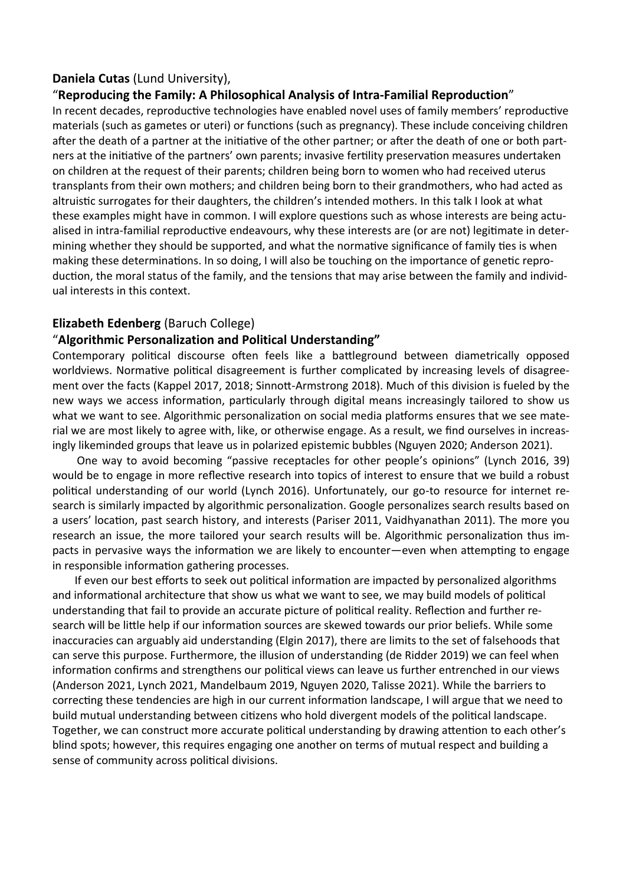### **Daniela Cutas** (Lund University),

### "**Reproducing the Family: A Philosophical Analysis of Intra-Familial Reproduction**"

In recent decades, reproductive technologies have enabled novel uses of family members' reproductive materials (such as gametes or uteri) or functions (such as pregnancy). These include conceiving children after the death of a partner at the initiative of the other partner; or after the death of one or both partners at the initiative of the partners' own parents; invasive fertility preservation measures undertaken on children at the request of their parents; children being born to women who had received uterus transplants from their own mothers; and children being born to their grandmothers, who had acted as altruistic surrogates for their daughters, the children's intended mothers. In this talk I look at what these examples might have in common. I will explore questions such as whose interests are being actualised in intra-familial reproductive endeavours, why these interests are (or are not) legitimate in determining whether they should be supported, and what the normative significance of family ties is when making these determinations. In so doing, I will also be touching on the importance of genetic reproduction, the moral status of the family, and the tensions that may arise between the family and individual interests in this context.

### **Elizabeth Edenberg** (Baruch College)

### "**Algorithmic Personalization and Political Understanding"**

Contemporary political discourse often feels like a battleground between diametrically opposed worldviews. Normative political disagreement is further complicated by increasing levels of disagreement over the facts (Kappel 2017, 2018; Sinnott-Armstrong 2018). Much of this division is fueled by the new ways we access information, particularly through digital means increasingly tailored to show us what we want to see. Algorithmic personalization on social media platforms ensures that we see material we are most likely to agree with, like, or otherwise engage. As a result, we find ourselves in increasingly likeminded groups that leave us in polarized epistemic bubbles (Nguyen 2020; Anderson 2021).

One way to avoid becoming "passive receptacles for other people's opinions" (Lynch 2016, 39) would be to engage in more reflective research into topics of interest to ensure that we build a robust political understanding of our world (Lynch 2016). Unfortunately, our go-to resource for internet research is similarly impacted by algorithmic personalization. Google personalizes search results based on a users' location, past search history, and interests (Pariser 2011, Vaidhyanathan 2011). The more you research an issue, the more tailored your search results will be. Algorithmic personalization thus impacts in pervasive ways the information we are likely to encounter—even when attempting to engage in responsible information gathering processes.

 If even our best efforts to seek out political information are impacted by personalized algorithms and informational architecture that show us what we want to see, we may build models of political understanding that fail to provide an accurate picture of political reality. Reflection and further research will be little help if our information sources are skewed towards our prior beliefs. While some inaccuracies can arguably aid understanding (Elgin 2017), there are limits to the set of falsehoods that can serve this purpose. Furthermore, the illusion of understanding (de Ridder 2019) we can feel when information confirms and strengthens our political views can leave us further entrenched in our views (Anderson 2021, Lynch 2021, Mandelbaum 2019, Nguyen 2020, Talisse 2021). While the barriers to correcting these tendencies are high in our current information landscape, I will argue that we need to build mutual understanding between citizens who hold divergent models of the political landscape. Together, we can construct more accurate political understanding by drawing attention to each other's blind spots; however, this requires engaging one another on terms of mutual respect and building a sense of community across political divisions.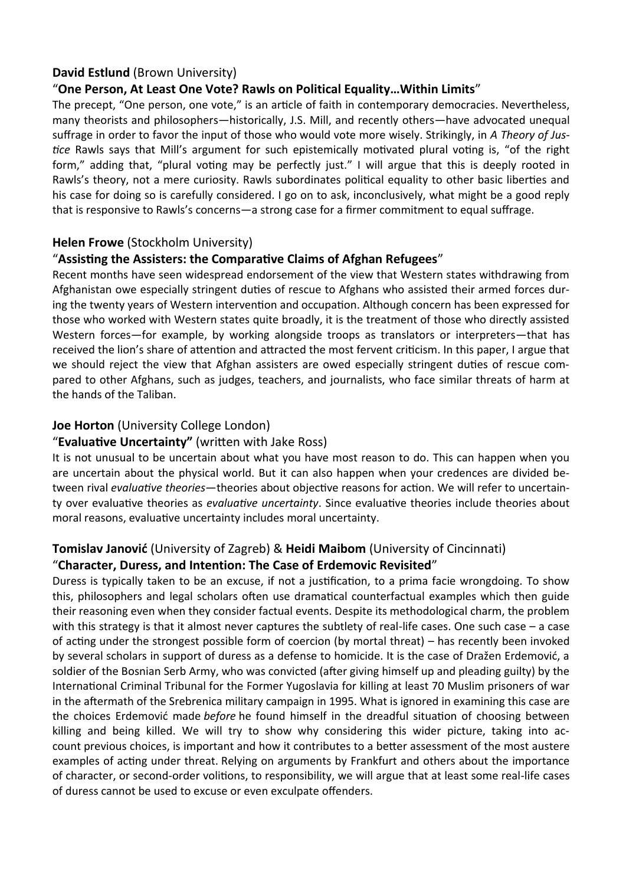# **David Estlund** (Brown University)

# "**One Person, At Least One Vote? Rawls on Political Equality…Within Limits**"

The precept, "One person, one vote," is an article of faith in contemporary democracies. Nevertheless, many theorists and philosophers—historically, J.S. Mill, and recently others—have advocated unequal suffrage in order to favor the input of those who would vote more wisely. Strikingly, in *A Theory of Justice* Rawls says that Mill's argument for such epistemically motivated plural voting is, "of the right form," adding that, "plural voting may be perfectly just." I will argue that this is deeply rooted in Rawls's theory, not a mere curiosity. Rawls subordinates political equality to other basic liberties and his case for doing so is carefully considered. I go on to ask, inconclusively, what might be a good reply that is responsive to Rawls's concerns—a strong case for a firmer commitment to equal suffrage.

### **Helen Frowe** (Stockholm University)

### "**Assisting the Assisters: the Comparative Claims of Afghan Refugees**"

Recent months have seen widespread endorsement of the view that Western states withdrawing from Afghanistan owe especially stringent duties of rescue to Afghans who assisted their armed forces during the twenty years of Western intervention and occupation. Although concern has been expressed for those who worked with Western states quite broadly, it is the treatment of those who directly assisted Western forces—for example, by working alongside troops as translators or interpreters—that has received the lion's share of attention and attracted the most fervent criticism. In this paper, I argue that we should reject the view that Afghan assisters are owed especially stringent duties of rescue compared to other Afghans, such as judges, teachers, and journalists, who face similar threats of harm at the hands of the Taliban.

# **Joe Horton** (University College London)

# "**Evaluative Uncertainty"** (written with Jake Ross)

It is not unusual to be uncertain about what you have most reason to do. This can happen when you are uncertain about the physical world. But it can also happen when your credences are divided between rival *evaluative theories*—theories about objective reasons for action. We will refer to uncertainty over evaluative theories as *evaluative uncertainty*. Since evaluative theories include theories about moral reasons, evaluative uncertainty includes moral uncertainty.

# **Tomislav Janović** (University of Zagreb) & **Heidi Maibom** (University of Cincinnati)

# "**Character, Duress, and Intention: The Case of Erdemovic Revisited**"

Duress is typically taken to be an excuse, if not a justification, to a prima facie wrongdoing. To show this, philosophers and legal scholars often use dramatical counterfactual examples which then guide their reasoning even when they consider factual events. Despite its methodological charm, the problem with this strategy is that it almost never captures the subtlety of real-life cases. One such case – a case of acting under the strongest possible form of coercion (by mortal threat) – has recently been invoked by several scholars in support of duress as a defense to homicide. It is the case of Dražen Erdemović, a soldier of the Bosnian Serb Army, who was convicted (after giving himself up and pleading guilty) by the International Criminal Tribunal for the Former Yugoslavia for killing at least 70 Muslim prisoners of war in the aftermath of the Srebrenica military campaign in 1995. What is ignored in examining this case are the choices Erdemović made *before* he found himself in the dreadful situation of choosing between killing and being killed. We will try to show why considering this wider picture, taking into account previous choices, is important and how it contributes to a better assessment of the most austere examples of acting under threat. Relying on arguments by Frankfurt and others about the importance of character, or second-order volitions, to responsibility, we will argue that at least some real-life cases of duress cannot be used to excuse or even exculpate offenders.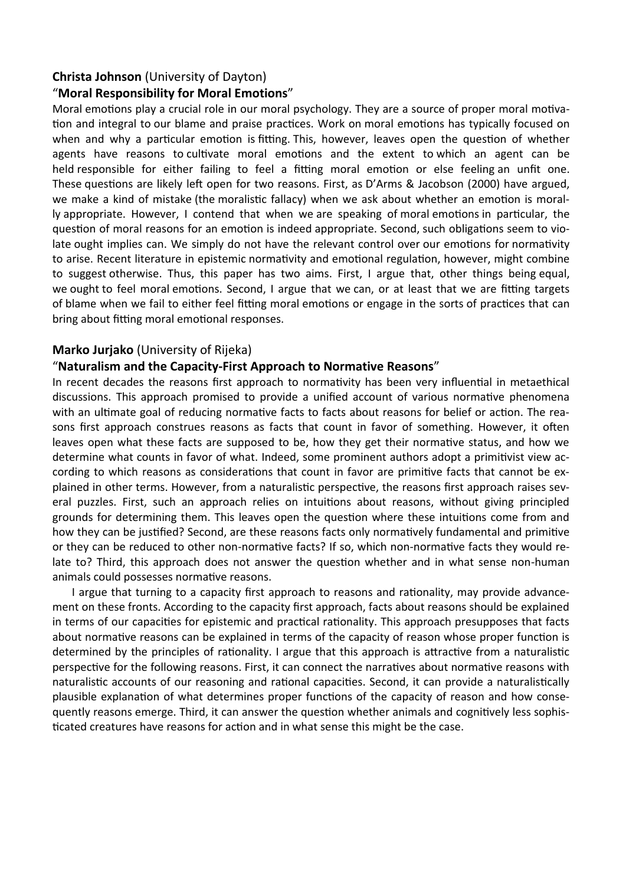#### **Christa Johnson** (University of Dayton)

### "**Moral Responsibility for Moral Emotions**"

Moral emotions play a crucial role in our moral psychology. They are a source of proper moral motivation and integral to our blame and praise practices. Work on moral emotions has typically focused on when and why a particular emotion is fitting. This, however, leaves open the question of whether agents have reasons to cultivate moral emotions and the extent to which an agent can be held responsible for either failing to feel a fitting moral emotion or else feeling an unfit one. These questions are likely left open for two reasons. First, as D'Arms & Jacobson (2000) have argued, we make a kind of mistake (the moralistic fallacy) when we ask about whether an emotion is morally appropriate. However, I contend that when we are speaking of moral emotions in particular, the question of moral reasons for an emotion is indeed appropriate. Second, such obligations seem to violate ought implies can. We simply do not have the relevant control over our emotions for normativity to arise. Recent literature in epistemic normativity and emotional regulation, however, might combine to suggest otherwise. Thus, this paper has two aims. First, I argue that, other things being equal, we ought to feel moral emotions. Second, I argue that we can, or at least that we are fitting targets of blame when we fail to either feel fitting moral emotions or engage in the sorts of practices that can bring about fitting moral emotional responses.

### **Marko Jurjako** (University of Rijeka)

### "**Naturalism and the Capacity-First Approach to Normative Reasons**"

In recent decades the reasons first approach to normativity has been very influential in metaethical discussions. This approach promised to provide a unified account of various normative phenomena with an ultimate goal of reducing normative facts to facts about reasons for belief or action. The reasons first approach construes reasons as facts that count in favor of something. However, it often leaves open what these facts are supposed to be, how they get their normative status, and how we determine what counts in favor of what. Indeed, some prominent authors adopt a primitivist view according to which reasons as considerations that count in favor are primitive facts that cannot be explained in other terms. However, from a naturalistic perspective, the reasons first approach raises several puzzles. First, such an approach relies on intuitions about reasons, without giving principled grounds for determining them. This leaves open the question where these intuitions come from and how they can be justified? Second, are these reasons facts only normatively fundamental and primitive or they can be reduced to other non-normative facts? If so, which non-normative facts they would relate to? Third, this approach does not answer the question whether and in what sense non-human animals could possesses normative reasons.

 I argue that turning to a capacity first approach to reasons and rationality, may provide advancement on these fronts. According to the capacity first approach, facts about reasons should be explained in terms of our capacities for epistemic and practical rationality. This approach presupposes that facts about normative reasons can be explained in terms of the capacity of reason whose proper function is determined by the principles of rationality. I argue that this approach is attractive from a naturalistic perspective for the following reasons. First, it can connect the narratives about normative reasons with naturalistic accounts of our reasoning and rational capacities. Second, it can provide a naturalistically plausible explanation of what determines proper functions of the capacity of reason and how consequently reasons emerge. Third, it can answer the question whether animals and cognitively less sophisticated creatures have reasons for action and in what sense this might be the case.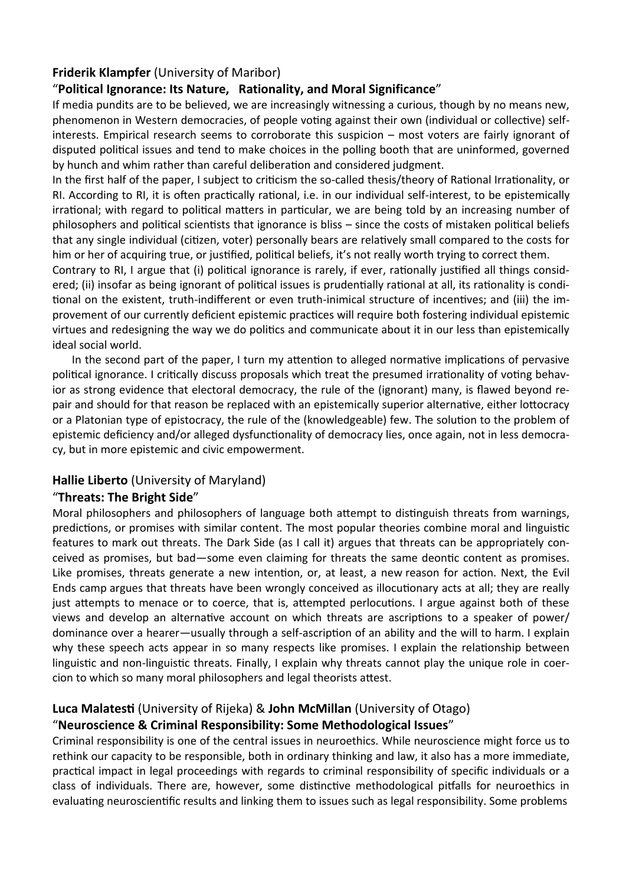# **Friderik Klampfer** (University of Maribor)

# "**Political Ignorance: Its Nature, Rationality, and Moral Significance**"

If media pundits are to be believed, we are increasingly witnessing a curious, though by no means new, phenomenon in Western democracies, of people voting against their own (individual or collective) selfinterests. Empirical research seems to corroborate this suspicion – most voters are fairly ignorant of disputed political issues and tend to make choices in the polling booth that are uninformed, governed by hunch and whim rather than careful deliberation and considered judgment.

In the first half of the paper, I subject to criticism the so-called thesis/theory of Rational Irrationality, or RI. According to RI, it is often practically rational, i.e. in our individual self-interest, to be epistemically irrational; with regard to political matters in particular, we are being told by an increasing number of philosophers and political scientists that ignorance is bliss – since the costs of mistaken political beliefs that any single individual (citizen, voter) personally bears are relatively small compared to the costs for him or her of acquiring true, or justified, political beliefs, it's not really worth trying to correct them.

Contrary to RI, I argue that (i) political ignorance is rarely, if ever, rationally justified all things considered; (ii) insofar as being ignorant of political issues is prudentially rational at all, its rationality is conditional on the existent, truth-indifferent or even truth-inimical structure of incentives; and (iii) the improvement of our currently deficient epistemic practices will require both fostering individual epistemic virtues and redesigning the way we do politics and communicate about it in our less than epistemically ideal social world.

 In the second part of the paper, I turn my attention to alleged normative implications of pervasive political ignorance. I critically discuss proposals which treat the presumed irrationality of voting behavior as strong evidence that electoral democracy, the rule of the (ignorant) many, is flawed beyond repair and should for that reason be replaced with an epistemically superior alternative, either lottocracy or a Platonian type of epistocracy, the rule of the (knowledgeable) few. The solution to the problem of epistemic deficiency and/or alleged dysfunctionality of democracy lies, once again, not in less democracy, but in more epistemic and civic empowerment.

### **Hallie Liberto** (University of Maryland)

### "**Threats: The Bright Side**"

Moral philosophers and philosophers of language both attempt to distinguish threats from warnings, predictions, or promises with similar content. The most popular theories combine moral and linguistic features to mark out threats. The Dark Side (as I call it) argues that threats can be appropriately conceived as promises, but bad—some even claiming for threats the same deontic content as promises. Like promises, threats generate a new intention, or, at least, a new reason for action. Next, the Evil Ends camp argues that threats have been wrongly conceived as illocutionary acts at all; they are really just attempts to menace or to coerce, that is, attempted perlocutions. I argue against both of these views and develop an alternative account on which threats are ascriptions to a speaker of power/ dominance over a hearer—usually through a self-ascription of an ability and the will to harm. I explain why these speech acts appear in so many respects like promises. I explain the relationship between linguistic and non-linguistic threats. Finally, I explain why threats cannot play the unique role in coercion to which so many moral philosophers and legal theorists attest.

# **Luca Malatesti** (University of Rijeka) & **John McMillan** (University of Otago)

# "**Neuroscience & Criminal Responsibility: Some Methodological Issues**"

Criminal responsibility is one of the central issues in neuroethics. While neuroscience might force us to rethink our capacity to be responsible, both in ordinary thinking and law, it also has a more immediate, practical impact in legal proceedings with regards to criminal responsibility of specific individuals or a class of individuals. There are, however, some distinctive methodological pitfalls for neuroethics in evaluating neuroscientific results and linking them to issues such as legal responsibility. Some problems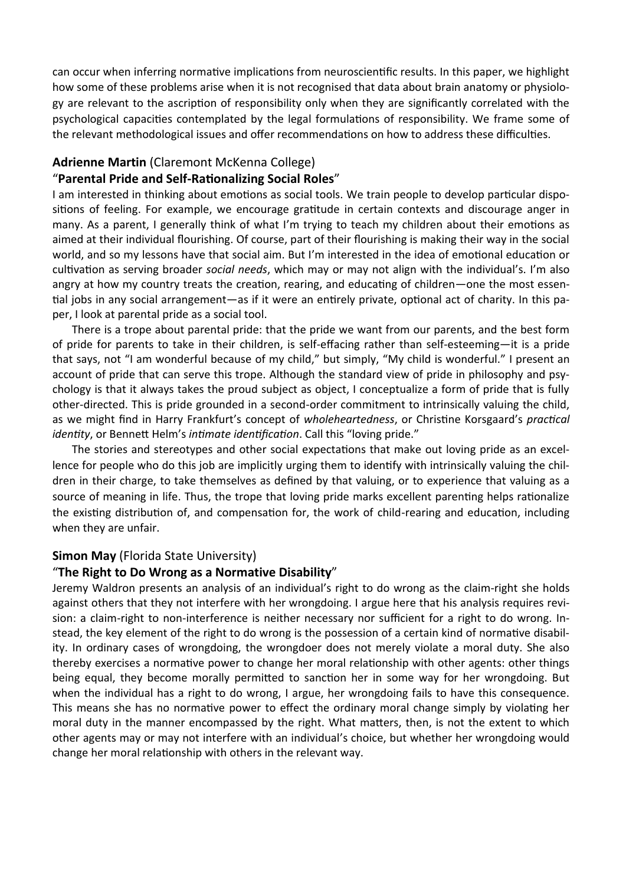can occur when inferring normative implications from neuroscientific results. In this paper, we highlight how some of these problems arise when it is not recognised that data about brain anatomy or physiology are relevant to the ascription of responsibility only when they are significantly correlated with the psychological capacities contemplated by the legal formulations of responsibility. We frame some of the relevant methodological issues and offer recommendations on how to address these difficulties.

#### **Adrienne Martin** (Claremont McKenna College)

#### "**Parental Pride and Self-Rationalizing Social Roles**"

I am interested in thinking about emotions as social tools. We train people to develop particular dispositions of feeling. For example, we encourage gratitude in certain contexts and discourage anger in many. As a parent, I generally think of what I'm trying to teach my children about their emotions as aimed at their individual flourishing. Of course, part of their flourishing is making their way in the social world, and so my lessons have that social aim. But I'm interested in the idea of emotional education or cultivation as serving broader *social needs*, which may or may not align with the individual's. I'm also angry at how my country treats the creation, rearing, and educating of children—one the most essential jobs in any social arrangement—as if it were an entirely private, optional act of charity. In this paper, I look at parental pride as a social tool.

 There is a trope about parental pride: that the pride we want from our parents, and the best form of pride for parents to take in their children, is self-effacing rather than self-esteeming—it is a pride that says, not "I am wonderful because of my child," but simply, "My child is wonderful." I present an account of pride that can serve this trope. Although the standard view of pride in philosophy and psychology is that it always takes the proud subject as object, I conceptualize a form of pride that is fully other-directed. This is pride grounded in a second-order commitment to intrinsically valuing the child, as we might find in Harry Frankfurt's concept of *wholeheartedness*, or Christine Korsgaard's *practical identity*, or Bennett Helm's *intimate identification*. Call this "loving pride."

 The stories and stereotypes and other social expectations that make out loving pride as an excellence for people who do this job are implicitly urging them to identify with intrinsically valuing the children in their charge, to take themselves as defined by that valuing, or to experience that valuing as a source of meaning in life. Thus, the trope that loving pride marks excellent parenting helps rationalize the existing distribution of, and compensation for, the work of child-rearing and education, including when they are unfair.

#### **Simon May** (Florida State University)

### "**The Right to Do Wrong as a Normative Disability**"

Jeremy Waldron presents an analysis of an individual's right to do wrong as the claim-right she holds against others that they not interfere with her wrongdoing. I argue here that his analysis requires revision: a claim-right to non-interference is neither necessary nor sufficient for a right to do wrong. Instead, the key element of the right to do wrong is the possession of a certain kind of normative disability. In ordinary cases of wrongdoing, the wrongdoer does not merely violate a moral duty. She also thereby exercises a normative power to change her moral relationship with other agents: other things being equal, they become morally permitted to sanction her in some way for her wrongdoing. But when the individual has a right to do wrong, I argue, her wrongdoing fails to have this consequence. This means she has no normative power to effect the ordinary moral change simply by violating her moral duty in the manner encompassed by the right. What matters, then, is not the extent to which other agents may or may not interfere with an individual's choice, but whether her wrongdoing would change her moral relationship with others in the relevant way.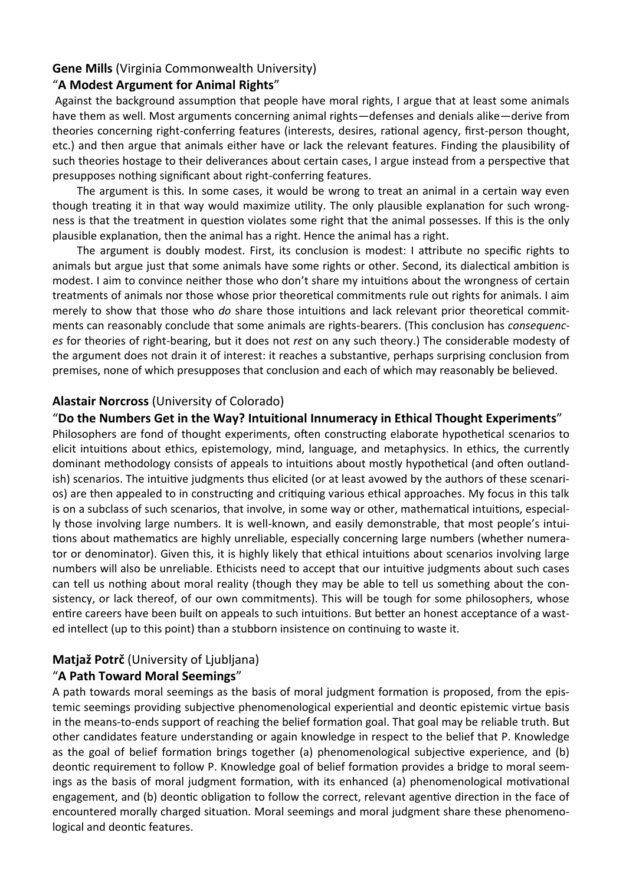### **Gene Mills** (Virginia Commonwealth University)

### "**A Modest Argument for Animal Rights**"

Against the background assumption that people have moral rights, I argue that at least some animals have them as well. Most arguments concerning animal rights—defenses and denials alike—derive from theories concerning right-conferring features (interests, desires, rational agency, first-person thought, etc.) and then argue that animals either have or lack the relevant features. Finding the plausibility of such theories hostage to their deliverances about certain cases, I argue instead from a perspective that presupposes nothing significant about right-conferring features.

The argument is this. In some cases, it would be wrong to treat an animal in a certain way even though treating it in that way would maximize utility. The only plausible explanation for such wrongness is that the treatment in question violates some right that the animal possesses. If this is the only plausible explanation, then the animal has a right. Hence the animal has a right.

The argument is doubly modest. First, its conclusion is modest: I attribute no specific rights to animals but argue just that some animals have some rights or other. Second, its dialectical ambition is modest. I aim to convince neither those who don't share my intuitions about the wrongness of certain treatments of animals nor those whose prior theoretical commitments rule out rights for animals. I aim merely to show that those who *do* share those intuitions and lack relevant prior theoretical commitments can reasonably conclude that some animals are rights-bearers. (This conclusion has *consequences* for theories of right-bearing, but it does not *rest* on any such theory.) The considerable modesty of the argument does not drain it of interest: it reaches a substantive, perhaps surprising conclusion from premises, none of which presupposes that conclusion and each of which may reasonably be believed.

#### **Alastair Norcross** (University of Colorado)

#### "**Do the Numbers Get in the Way? Intuitional Innumeracy in Ethical Thought Experiments**"

Philosophers are fond of thought experiments, often constructing elaborate hypothetical scenarios to elicit intuitions about ethics, epistemology, mind, language, and metaphysics. In ethics, the currently dominant methodology consists of appeals to intuitions about mostly hypothetical (and often outlandish) scenarios. The intuitive judgments thus elicited (or at least avowed by the authors of these scenarios) are then appealed to in constructing and critiquing various ethical approaches. My focus in this talk is on a subclass of such scenarios, that involve, in some way or other, mathematical intuitions, especially those involving large numbers. It is well-known, and easily demonstrable, that most people's intuitions about mathematics are highly unreliable, especially concerning large numbers (whether numerator or denominator). Given this, it is highly likely that ethical intuitions about scenarios involving large numbers will also be unreliable. Ethicists need to accept that our intuitive judgments about such cases can tell us nothing about moral reality (though they may be able to tell us something about the consistency, or lack thereof, of our own commitments). This will be tough for some philosophers, whose entire careers have been built on appeals to such intuitions. But better an honest acceptance of a wasted intellect (up to this point) than a stubborn insistence on continuing to waste it.

#### **Matjaž Potrč** (University of Ljubljana)

### "**A Path Toward Moral Seemings**"

A path towards moral seemings as the basis of moral judgment formation is proposed, from the epistemic seemings providing subjective phenomenological experiential and deontic epistemic virtue basis in the means-to-ends support of reaching the belief formation goal. That goal may be reliable truth. But other candidates feature understanding or again knowledge in respect to the belief that P. Knowledge as the goal of belief formation brings together (a) phenomenological subjective experience, and (b) deontic requirement to follow P. Knowledge goal of belief formation provides a bridge to moral seemings as the basis of moral judgment formation, with its enhanced (a) phenomenological motivational engagement, and (b) deontic obligation to follow the correct, relevant agentive direction in the face of encountered morally charged situation. Moral seemings and moral judgment share these phenomenological and deontic features.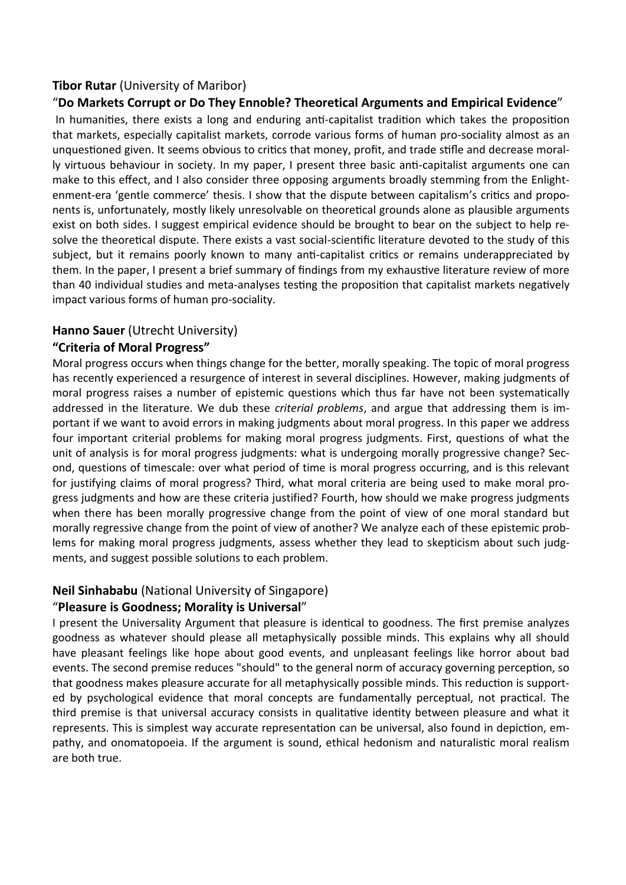# **Tibor Rutar** (University of Maribor)

### "**Do Markets Corrupt or Do They Ennoble? Theoretical Arguments and Empirical Evidence**"

In humanities, there exists a long and enduring anti-capitalist tradition which takes the proposition that markets, especially capitalist markets, corrode various forms of human pro-sociality almost as an unquestioned given. It seems obvious to critics that money, profit, and trade stifle and decrease morally virtuous behaviour in society. In my paper, I present three basic anti-capitalist arguments one can make to this effect, and I also consider three opposing arguments broadly stemming from the Enlightenment-era 'gentle commerce' thesis. I show that the dispute between capitalism's critics and proponents is, unfortunately, mostly likely unresolvable on theoretical grounds alone as plausible arguments exist on both sides. I suggest empirical evidence should be brought to bear on the subject to help resolve the theoretical dispute. There exists a vast social-scientific literature devoted to the study of this subject, but it remains poorly known to many anti-capitalist critics or remains underappreciated by them. In the paper, I present a brief summary of findings from my exhaustive literature review of more than 40 individual studies and meta-analyses testing the proposition that capitalist markets negatively impact various forms of human pro-sociality.

### **Hanno Sauer** (Utrecht University)

### **"Criteria of Moral Progress"**

Moral progress occurs when things change for the better, morally speaking. The topic of moral progress has recently experienced a resurgence of interest in several disciplines. However, making judgments of moral progress raises a number of epistemic questions which thus far have not been systematically addressed in the literature. We dub these *criterial problems*, and argue that addressing them is important if we want to avoid errors in making judgments about moral progress. In this paper we address four important criterial problems for making moral progress judgments. First, questions of what the unit of analysis is for moral progress judgments: what is undergoing morally progressive change? Second, questions of timescale: over what period of time is moral progress occurring, and is this relevant for justifying claims of moral progress? Third, what moral criteria are being used to make moral progress judgments and how are these criteria justified? Fourth, how should we make progress judgments when there has been morally progressive change from the point of view of one moral standard but morally regressive change from the point of view of another? We analyze each of these epistemic problems for making moral progress judgments, assess whether they lead to skepticism about such judgments, and suggest possible solutions to each problem.

### **Neil Sinhababu** (National University of Singapore)

### "**Pleasure is Goodness; Morality is Universal**"

I present the Universality Argument that pleasure is identical to goodness. The first premise analyzes goodness as whatever should please all metaphysically possible minds. This explains why all should have pleasant feelings like hope about good events, and unpleasant feelings like horror about bad events. The second premise reduces "should" to the general norm of accuracy governing perception, so that goodness makes pleasure accurate for all metaphysically possible minds. This reduction is supported by psychological evidence that moral concepts are fundamentally perceptual, not practical. The third premise is that universal accuracy consists in qualitative identity between pleasure and what it represents. This is simplest way accurate representation can be universal, also found in depiction, empathy, and onomatopoeia. If the argument is sound, ethical hedonism and naturalistic moral realism are both true.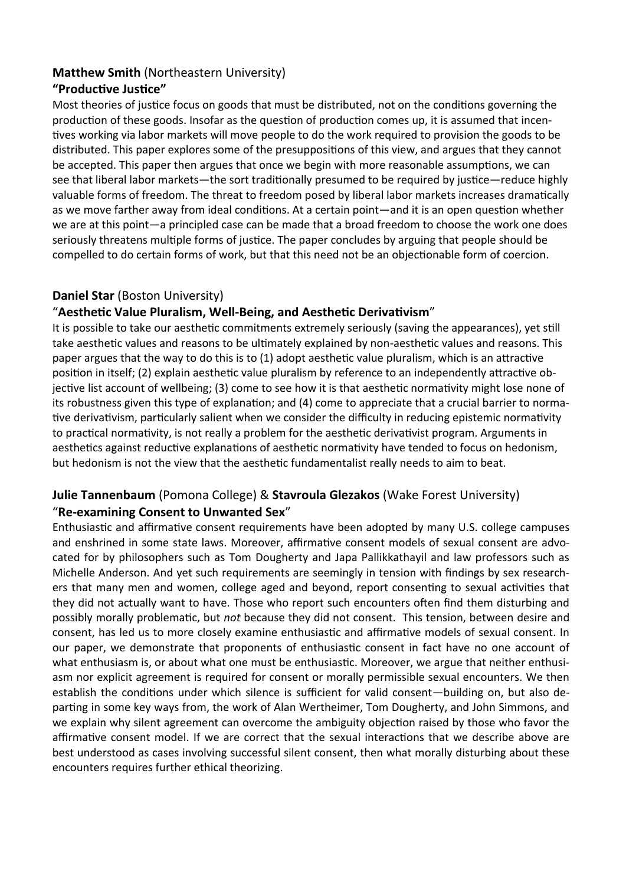# **Matthew Smith** (Northeastern University)

# **"Productive Justice"**

Most theories of justice focus on goods that must be distributed, not on the conditions governing the production of these goods. Insofar as the question of production comes up, it is assumed that incentives working via labor markets will move people to do the work required to provision the goods to be distributed. This paper explores some of the presuppositions of this view, and argues that they cannot be accepted. This paper then argues that once we begin with more reasonable assumptions, we can see that liberal labor markets—the sort traditionally presumed to be required by justice—reduce highly valuable forms of freedom. The threat to freedom posed by liberal labor markets increases dramatically as we move farther away from ideal conditions. At a certain point—and it is an open question whether we are at this point—a principled case can be made that a broad freedom to choose the work one does seriously threatens multiple forms of justice. The paper concludes by arguing that people should be compelled to do certain forms of work, but that this need not be an objectionable form of coercion.

# **Daniel Star** (Boston University)

# "**Aesthetic Value Pluralism, Well-Being, and Aesthetic Derivativism**"

It is possible to take our aesthetic commitments extremely seriously (saving the appearances), yet still take aesthetic values and reasons to be ultimately explained by non-aesthetic values and reasons. This paper argues that the way to do this is to (1) adopt aesthetic value pluralism, which is an attractive position in itself; (2) explain aesthetic value pluralism by reference to an independently attractive objective list account of wellbeing; (3) come to see how it is that aesthetic normativity might lose none of its robustness given this type of explanation; and (4) come to appreciate that a crucial barrier to normative derivativism, particularly salient when we consider the difficulty in reducing epistemic normativity to practical normativity, is not really a problem for the aesthetic derivativist program. Arguments in aesthetics against reductive explanations of aesthetic normativity have tended to focus on hedonism, but hedonism is not the view that the aesthetic fundamentalist really needs to aim to beat.

# **Julie Tannenbaum** (Pomona College) & **Stavroula Glezakos** (Wake Forest University) "**Re-examining Consent to Unwanted Sex**"

Enthusiastic and affirmative consent requirements have been adopted by many U.S. college campuses and enshrined in some state laws. Moreover, affirmative consent models of sexual consent are advocated for by philosophers such as Tom Dougherty and Japa Pallikkathayil and law professors such as Michelle Anderson. And yet such requirements are seemingly in tension with findings by sex researchers that many men and women, college aged and beyond, report consenting to sexual activities that they did not actually want to have. Those who report such encounters often find them disturbing and possibly morally problematic, but *not* because they did not consent. This tension, between desire and consent, has led us to more closely examine enthusiastic and affirmative models of sexual consent. In our paper, we demonstrate that proponents of enthusiastic consent in fact have no one account of what enthusiasm is, or about what one must be enthusiastic. Moreover, we argue that neither enthusiasm nor explicit agreement is required for consent or morally permissible sexual encounters. We then establish the conditions under which silence is sufficient for valid consent—building on, but also departing in some key ways from, the work of Alan Wertheimer, Tom Dougherty, and John Simmons, and we explain why silent agreement can overcome the ambiguity objection raised by those who favor the affirmative consent model. If we are correct that the sexual interactions that we describe above are best understood as cases involving successful silent consent, then what morally disturbing about these encounters requires further ethical theorizing.